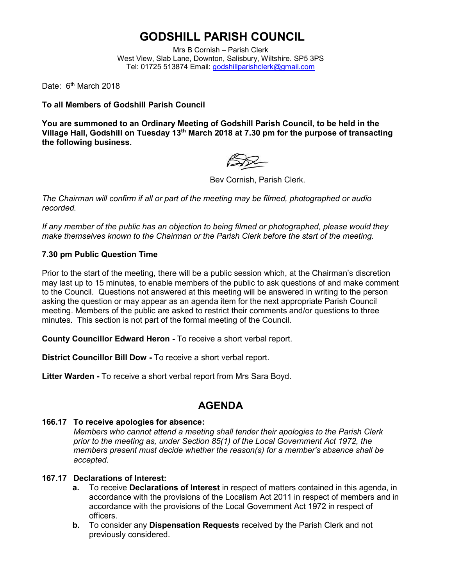# **GODSHILL PARISH COUNCIL**

Mrs B Cornish – Parish Clerk West View, Slab Lane, Downton, Salisbury, Wiltshire. SP5 3PS Tel: 01725 513874 Email: [godshillparishclerk@gmail.com](mailto:godshillparishclerk@gmail.com)

Date: 6<sup>th</sup> March 2018

**To all Members of Godshill Parish Council**

**You are summoned to an Ordinary Meeting of Godshill Parish Council, to be held in the Village Hall, Godshill on Tuesday 13th March 2018 at 7.30 pm for the purpose of transacting the following business.**

Bev Cornish, Parish Clerk.

*The Chairman will confirm if all or part of the meeting may be filmed, photographed or audio recorded.*

*If any member of the public has an objection to being filmed or photographed, please would they make themselves known to the Chairman or the Parish Clerk before the start of the meeting.*

### **7.30 pm Public Question Time**

Prior to the start of the meeting, there will be a public session which, at the Chairman's discretion may last up to 15 minutes, to enable members of the public to ask questions of and make comment to the Council. Questions not answered at this meeting will be answered in writing to the person asking the question or may appear as an agenda item for the next appropriate Parish Council meeting. Members of the public are asked to restrict their comments and/or questions to three minutes. This section is not part of the formal meeting of the Council.

**County Councillor Edward Heron -** To receive a short verbal report.

**District Councillor Bill Dow -** To receive a short verbal report.

**Litter Warden -** To receive a short verbal report from Mrs Sara Boyd.

## **AGENDA**

## **166.17 To receive apologies for absence:**

*Members who cannot attend a meeting shall tender their apologies to the Parish Clerk prior to the meeting as, under Section 85(1) of the Local Government Act 1972, the members present must decide whether the reason(s) for a member's absence shall be accepted.*

## **167.17 Declarations of Interest:**

- **a.** To receive **Declarations of Interest** in respect of matters contained in this agenda, in accordance with the provisions of the Localism Act 2011 in respect of members and in accordance with the provisions of the Local Government Act 1972 in respect of officers.
- **b.** To consider any **Dispensation Requests** received by the Parish Clerk and not previously considered.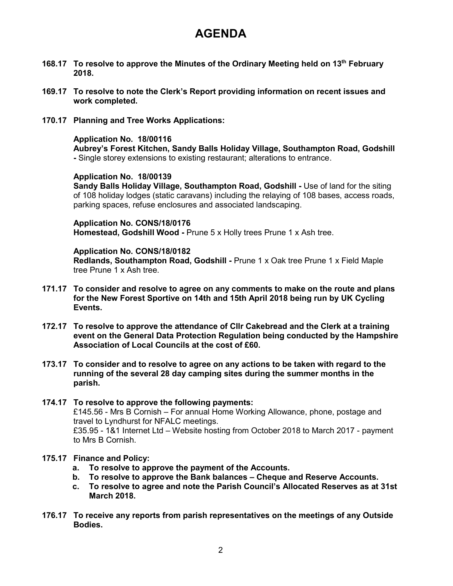## **AGENDA**

- **168.17 To resolve to approve the Minutes of the Ordinary Meeting held on 13th February 2018.**
- **169.17 To resolve to note the Clerk's Report providing information on recent issues and work completed.**
- **170.17 Planning and Tree Works Applications:**

#### **Application No. 18/00116**

**Aubrey's Forest Kitchen, Sandy Balls Holiday Village, Southampton Road, Godshill -** Single storey extensions to existing restaurant; alterations to entrance.

**Application No. 18/00139**

**Sandy Balls Holiday Village, Southampton Road, Godshill -** Use of land for the siting of 108 holiday lodges (static caravans) including the relaying of 108 bases, access roads, parking spaces, refuse enclosures and associated landscaping.

**Application No. CONS/18/0176 Homestead, Godshill Wood -** Prune 5 x Holly trees Prune 1 x Ash tree.

#### **Application No. CONS/18/0182**

**Redlands, Southampton Road, Godshill -** Prune 1 x Oak tree Prune 1 x Field Maple tree Prune 1 x Ash tree.

- **171.17 To consider and resolve to agree on any comments to make on the route and plans for the New Forest Sportive on 14th and 15th April 2018 being run by UK Cycling Events.**
- **172.17 To resolve to approve the attendance of Cllr Cakebread and the Clerk at a training event on the General Data Protection Regulation being conducted by the Hampshire Association of Local Councils at the cost of £60.**
- **173.17 To consider and to resolve to agree on any actions to be taken with regard to the running of the several 28 day camping sites during the summer months in the parish.**
- **174.17 To resolve to approve the following payments:** £145.56 - Mrs B Cornish – For annual Home Working Allowance, phone, postage and travel to Lyndhurst for NFALC meetings. £35.95 - 1&1 Internet Ltd – Website hosting from October 2018 to March 2017 - payment to Mrs B Cornish.

#### **175.17 Finance and Policy:**

- **a. To resolve to approve the payment of the Accounts.**
- **b. To resolve to approve the Bank balances – Cheque and Reserve Accounts.**
- **c. To resolve to agree and note the Parish Council's Allocated Reserves as at 31st March 2018.**
- **176.17 To receive any reports from parish representatives on the meetings of any Outside Bodies.**